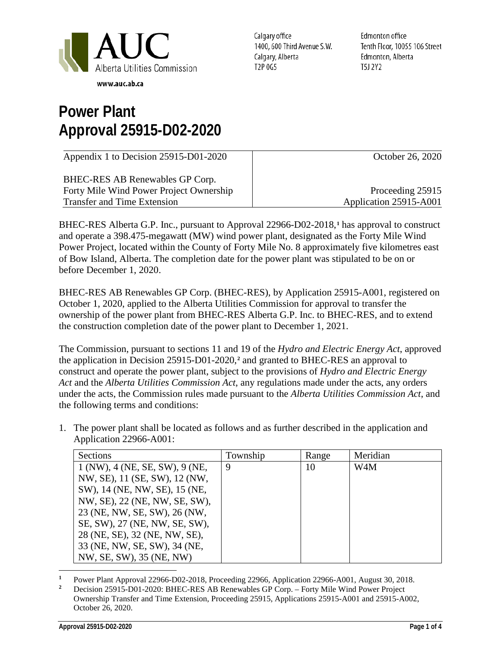

Calgary office 1400, 600 Third Avenue S.W. Calgary, Alberta T2P 0G5

Edmonton office Tenth Floor, 10055 106 Street Edmonton, Alberta T5J 2Y2

## **Power Plant Approval 25915-D02-2020**

| Appendix 1 to Decision 25915-D01-2020   | October 26, 2020       |
|-----------------------------------------|------------------------|
| BHEC-RES AB Renewables GP Corp.         |                        |
| Forty Mile Wind Power Project Ownership | Proceeding 25915       |
| <b>Transfer and Time Extension</b>      | Application 25915-A001 |

BHEC-RES Alberta G.P. Inc., pursuant to Approval 22966-D02-2018,**[1](#page-0-0)** has approval to construct and operate a 398.475-megawatt (MW) wind power plant, designated as the Forty Mile Wind Power Project, located within the County of Forty Mile No. 8 approximately five kilometres east of Bow Island, Alberta. The completion date for the power plant was stipulated to be on or before December 1, 2020.

BHEC-RES AB Renewables GP Corp. (BHEC-RES), by Application 25915-A001, registered on October 1, 2020, applied to the Alberta Utilities Commission for approval to transfer the ownership of the power plant from BHEC-RES Alberta G.P. Inc. to BHEC-RES, and to extend the construction completion date of the power plant to December 1, 2021.

The Commission, pursuant to sections 11 and 19 of the *Hydro and Electric Energy Act*, approved the application in Decision 25915-D01-2020,**[2](#page-0-1)** and granted to BHEC-RES an approval to construct and operate the power plant, subject to the provisions of *Hydro and Electric Energy Act* and the *Alberta Utilities Commission Act*, any regulations made under the acts, any orders under the acts, the Commission rules made pursuant to the *Alberta Utilities Commission Act*, and the following terms and conditions:

1. The power plant shall be located as follows and as further described in the application and Application 22966-A001:

| Sections                       | Township | Range | Meridian         |
|--------------------------------|----------|-------|------------------|
| 1 (NW), 4 (NE, SE, SW), 9 (NE, | 9        | 10    | W <sub>4</sub> M |
| NW, SE), 11 (SE, SW), 12 (NW,  |          |       |                  |
| SW), 14 (NE, NW, SE), 15 (NE,  |          |       |                  |
| NW, SE), 22 (NE, NW, SE, SW),  |          |       |                  |
| 23 (NE, NW, SE, SW), 26 (NW,   |          |       |                  |
| SE, SW), 27 (NE, NW, SE, SW),  |          |       |                  |
| 28 (NE, SE), 32 (NE, NW, SE),  |          |       |                  |
| 33 (NE, NW, SE, SW), 34 (NE,   |          |       |                  |
| NW, SE, SW), 35 (NE, NW)       |          |       |                  |

<span id="page-0-0"></span> $\overline{a}$ <sup>1</sup> Power Plant Approval 22966-D02-2018, Proceeding 22966, Application 22966-A001, August 30, 2018.<br><sup>2</sup> Posizion 25015 D01 2020, BUEC BES AB Benauvalles CB Came, Forty Mile Wind Bayer Braiact.

<span id="page-0-1"></span>**<sup>2</sup>** Decision 25915-D01-2020: BHEC-RES AB Renewables GP Corp. – Forty Mile Wind Power Project Ownership Transfer and Time Extension, Proceeding 25915, Applications 25915-A001 and 25915-A002, October 26, 2020.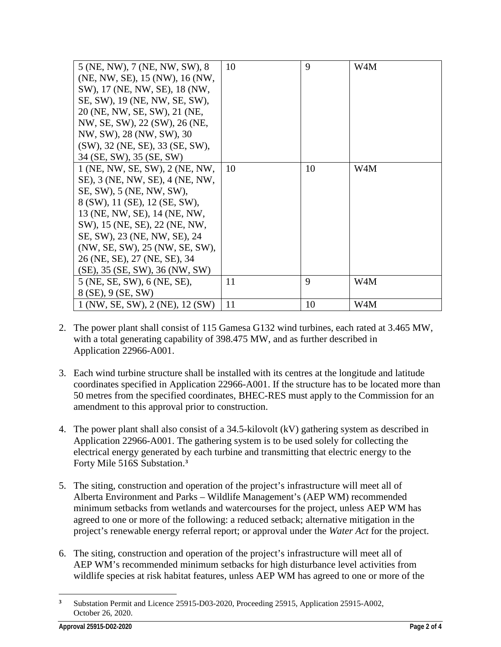| 5 (NE, NW), 7 (NE, NW, SW), 8          | 10 | 9  | W4M |
|----------------------------------------|----|----|-----|
| (NE, NW, SE), 15 (NW), 16 (NW,         |    |    |     |
| SW), 17 (NE, NW, SE), 18 (NW,          |    |    |     |
| SE, SW), 19 (NE, NW, SE, SW),          |    |    |     |
| 20 (NE, NW, SE, SW), 21 (NE,           |    |    |     |
| NW, SE, SW), 22 (SW), 26 (NE,          |    |    |     |
| NW, SW), 28 (NW, SW), 30               |    |    |     |
| $(SW)$ , 32 (NE, SE), 33 (SE, SW),     |    |    |     |
| 34 (SE, SW), 35 (SE, SW)               |    |    |     |
| 1 (NE, NW, SE, SW), 2 (NE, NW,         | 10 | 10 | W4M |
| SE), 3 (NE, NW, SE), 4 (NE, NW,        |    |    |     |
| SE, SW), 5 (NE, NW, SW),               |    |    |     |
| 8 (SW), 11 (SE), 12 (SE, SW),          |    |    |     |
| 13 (NE, NW, SE), 14 (NE, NW,           |    |    |     |
| SW), 15 (NE, SE), 22 (NE, NW,          |    |    |     |
| SE, SW), 23 (NE, NW, SE), 24           |    |    |     |
| (NW, SE, SW), 25 (NW, SE, SW),         |    |    |     |
| 26 (NE, SE), 27 (NE, SE), 34           |    |    |     |
| $(SE)$ , 35 $(SE, SW)$ , 36 $(NW, SW)$ |    |    |     |
| 5 (NE, SE, SW), 6 (NE, SE),            | 11 | 9  | W4M |
| 8 (SE), 9 (SE, SW)                     |    |    |     |
| 1 (NW, SE, SW), 2 (NE), 12 (SW)        | 11 | 10 | W4M |

- 2. The power plant shall consist of 115 Gamesa G132 wind turbines, each rated at 3.465 MW, with a total generating capability of 398.475 MW, and as further described in Application 22966-A001.
- 3. Each wind turbine structure shall be installed with its centres at the longitude and latitude coordinates specified in Application 22966-A001. If the structure has to be located more than 50 metres from the specified coordinates, BHEC-RES must apply to the Commission for an amendment to this approval prior to construction.
- 4. The power plant shall also consist of a 34.5-kilovolt (kV) gathering system as described in Application 22966-A001. The gathering system is to be used solely for collecting the electrical energy generated by each turbine and transmitting that electric energy to the Forty Mile 516S Substation.**[3](#page-1-0)**
- 5. The siting, construction and operation of the project's infrastructure will meet all of Alberta Environment and Parks – Wildlife Management's (AEP WM) recommended minimum setbacks from wetlands and watercourses for the project, unless AEP WM has agreed to one or more of the following: a reduced setback; alternative mitigation in the project's renewable energy referral report; or approval under the *Water Act* for the project.
- 6. The siting, construction and operation of the project's infrastructure will meet all of AEP WM's recommended minimum setbacks for high disturbance level activities from wildlife species at risk habitat features, unless AEP WM has agreed to one or more of the

<span id="page-1-0"></span> $\overline{a}$ **<sup>3</sup>** Substation Permit and Licence 25915-D03-2020, Proceeding 25915, Application 25915-A002, October 26, 2020.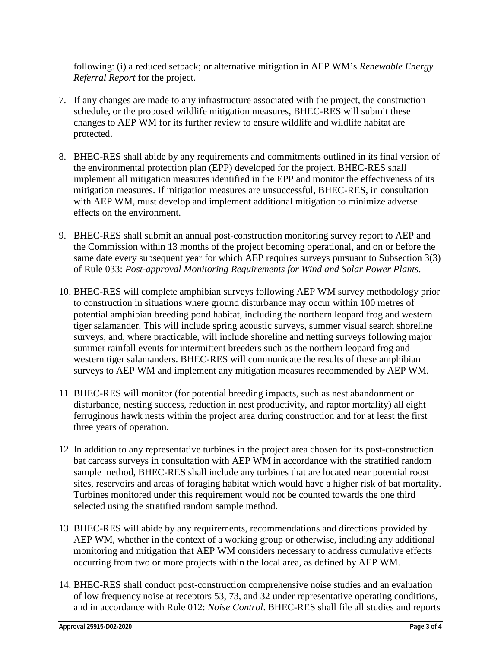following: (i) a reduced setback; or alternative mitigation in AEP WM's *Renewable Energy Referral Report* for the project.

- 7. If any changes are made to any infrastructure associated with the project, the construction schedule, or the proposed wildlife mitigation measures, BHEC-RES will submit these changes to AEP WM for its further review to ensure wildlife and wildlife habitat are protected.
- 8. BHEC-RES shall abide by any requirements and commitments outlined in its final version of the environmental protection plan (EPP) developed for the project. BHEC-RES shall implement all mitigation measures identified in the EPP and monitor the effectiveness of its mitigation measures. If mitigation measures are unsuccessful, BHEC-RES, in consultation with AEP WM, must develop and implement additional mitigation to minimize adverse effects on the environment.
- 9. BHEC-RES shall submit an annual post-construction monitoring survey report to AEP and the Commission within 13 months of the project becoming operational, and on or before the same date every subsequent year for which AEP requires surveys pursuant to Subsection 3(3) of Rule 033: *Post-approval Monitoring Requirements for Wind and Solar Power Plants*.
- 10. BHEC-RES will complete amphibian surveys following AEP WM survey methodology prior to construction in situations where ground disturbance may occur within 100 metres of potential amphibian breeding pond habitat, including the northern leopard frog and western tiger salamander. This will include spring acoustic surveys, summer visual search shoreline surveys, and, where practicable, will include shoreline and netting surveys following major summer rainfall events for intermittent breeders such as the northern leopard frog and western tiger salamanders. BHEC-RES will communicate the results of these amphibian surveys to AEP WM and implement any mitigation measures recommended by AEP WM.
- 11. BHEC-RES will monitor (for potential breeding impacts, such as nest abandonment or disturbance, nesting success, reduction in nest productivity, and raptor mortality) all eight ferruginous hawk nests within the project area during construction and for at least the first three years of operation.
- 12. In addition to any representative turbines in the project area chosen for its post-construction bat carcass surveys in consultation with AEP WM in accordance with the stratified random sample method, BHEC-RES shall include any turbines that are located near potential roost sites, reservoirs and areas of foraging habitat which would have a higher risk of bat mortality. Turbines monitored under this requirement would not be counted towards the one third selected using the stratified random sample method.
- 13. BHEC-RES will abide by any requirements, recommendations and directions provided by AEP WM, whether in the context of a working group or otherwise, including any additional monitoring and mitigation that AEP WM considers necessary to address cumulative effects occurring from two or more projects within the local area, as defined by AEP WM.
- 14. BHEC-RES shall conduct post-construction comprehensive noise studies and an evaluation of low frequency noise at receptors 53, 73, and 32 under representative operating conditions, and in accordance with Rule 012: *Noise Control*. BHEC-RES shall file all studies and reports